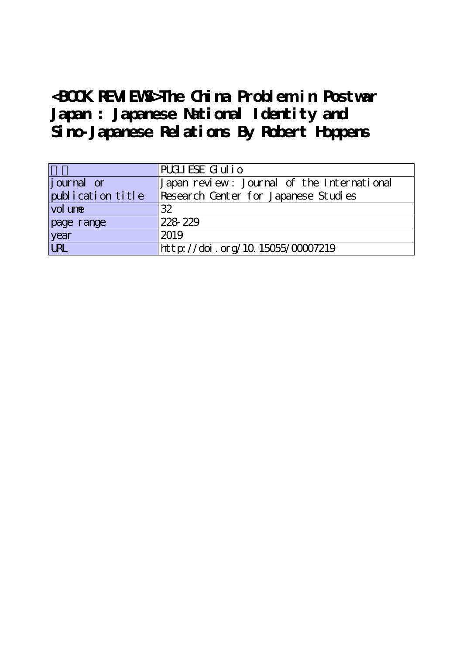**<BOOK REVIEWS>The China Problem in Postwar Japan : Japanese National Identity and Sino-Japanese Relations By Robert Hoppens**

|                    | PUCLIESE Giulio                            |
|--------------------|--------------------------------------------|
| <i>j</i> ournal or | Japan review: Journal of the International |
| publication title  | Research Center for Japanese Studies       |
| vol une            | 32                                         |
| page range         | 228-229                                    |
| year<br>URL        | 2019                                       |
|                    | http://doi.org/10.15055/00007219           |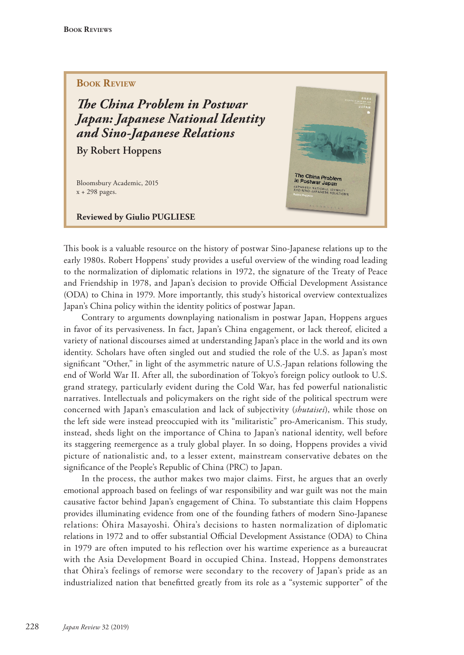## **BOOK REVIEW**

**The China Problem in Postwar** *Japan: Japanese National Identity and Sino-Japanese Relations*

**By Robert Hoppens**

Bloomsbury Academic, 2015 x + 298 pages.

**Reviewed by Giulio PUGLIESE**



This book is a valuable resource on the history of postwar Sino-Japanese relations up to the early 1980s. Robert Hoppens' study provides a useful overview of the winding road leading to the normalization of diplomatic relations in 1972, the signature of the Treaty of Peace and Friendship in 1978, and Japan's decision to provide Official Development Assistance (ODA) to China in 1979. More importantly, this study's historical overview contextualizes Japan's China policy within the identity politics of postwar Japan.

Contrary to arguments downplaying nationalism in postwar Japan, Hoppens argues in favor of its pervasiveness. In fact, Japan's China engagement, or lack thereof, elicited a variety of national discourses aimed at understanding Japan's place in the world and its own identity. Scholars have often singled out and studied the role of the U.S. as Japan's most significant "Other," in light of the asymmetric nature of U.S.-Japan relations following the end of World War II. After all, the subordination of Tokyo's foreign policy outlook to U.S. grand strategy, particularly evident during the Cold War, has fed powerful nationalistic narratives. Intellectuals and policymakers on the right side of the political spectrum were concerned with Japan's emasculation and lack of subjectivity (*shutaisei*), while those on the left side were instead preoccupied with its "militaristic" pro-Americanism. This study, instead, sheds light on the importance of China to Japan's national identity, well before its staggering reemergence as a truly global player. In so doing, Hoppens provides a vivid picture of nationalistic and, to a lesser extent, mainstream conservative debates on the significance of the People's Republic of China (PRC) to Japan.

In the process, the author makes two major claims. First, he argues that an overly emotional approach based on feelings of war responsibility and war guilt was not the main causative factor behind Japan's engagement of China. To substantiate this claim Hoppens provides illuminating evidence from one of the founding fathers of modern Sino-Japanese relations: Ōhira Masayoshi. Ōhira's decisions to hasten normalization of diplomatic relations in 1972 and to offer substantial Official Development Assistance (ODA) to China in 1979 are often imputed to his reflection over his wartime experience as a bureaucrat with the Asia Development Board in occupied China. Instead, Hoppens demonstrates that Ōhira's feelings of remorse were secondary to the recovery of Japan's pride as an industrialized nation that benefitted greatly from its role as a "systemic supporter" of the